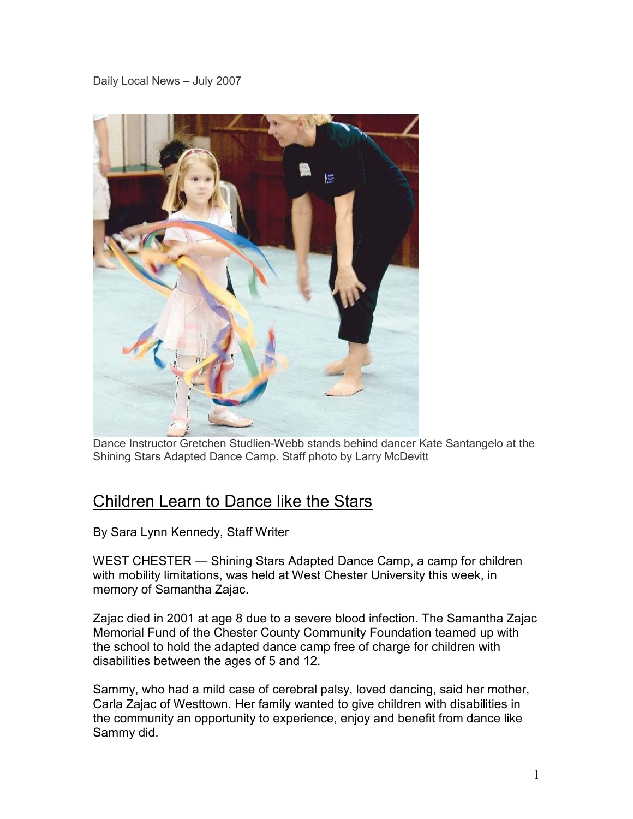Daily Local News – July 2007



Dance Instructor Gretchen Studlien-Webb stands behind dancer Kate Santangelo at the Shining Stars Adapted Dance Camp. Staff photo by Larry McDevitt

## Children Learn to Dance like the Stars

By Sara Lynn Kennedy, Staff Writer

WEST CHESTER — Shining Stars Adapted Dance Camp, a camp for children with mobility limitations, was held at West Chester University this week, in memory of Samantha Zajac.

Zajac died in 2001 at age 8 due to a severe blood infection. The Samantha Zajac Memorial Fund of the Chester County Community Foundation teamed up with the school to hold the adapted dance camp free of charge for children with disabilities between the ages of 5 and 12.

Sammy, who had a mild case of cerebral palsy, loved dancing, said her mother, Carla Zajac of Westtown. Her family wanted to give children with disabilities in the community an opportunity to experience, enjoy and benefit from dance like Sammy did.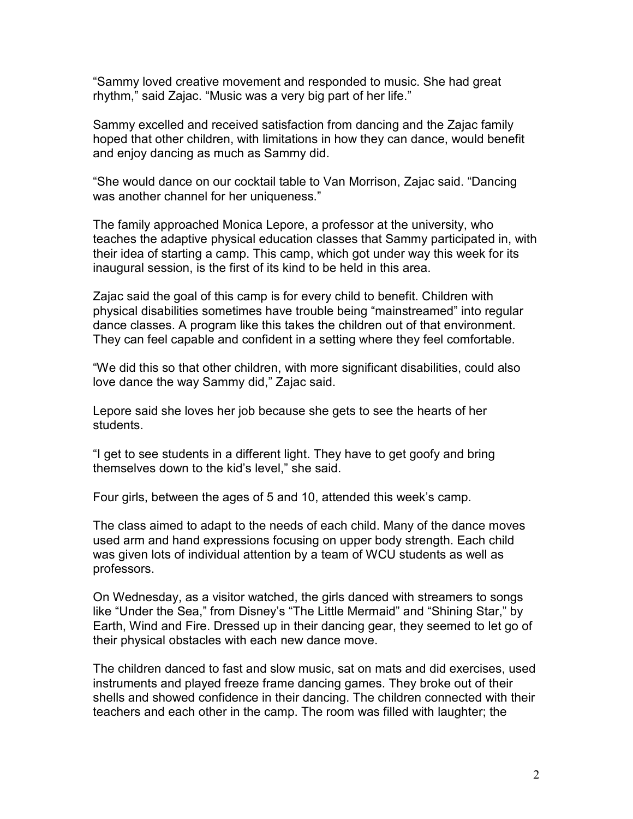"Sammy loved creative movement and responded to music. She had great rhythm," said Zajac. "Music was a very big part of her life."

Sammy excelled and received satisfaction from dancing and the Zajac family hoped that other children, with limitations in how they can dance, would benefit and enjoy dancing as much as Sammy did.

"She would dance on our cocktail table to Van Morrison, Zajac said. "Dancing was another channel for her uniqueness."

The family approached Monica Lepore, a professor at the university, who teaches the adaptive physical education classes that Sammy participated in, with their idea of starting a camp. This camp, which got under way this week for its inaugural session, is the first of its kind to be held in this area.

Zajac said the goal of this camp is for every child to benefit. Children with physical disabilities sometimes have trouble being "mainstreamed" into regular dance classes. A program like this takes the children out of that environment. They can feel capable and confident in a setting where they feel comfortable.

"We did this so that other children, with more significant disabilities, could also love dance the way Sammy did," Zajac said.

Lepore said she loves her job because she gets to see the hearts of her students.

"I get to see students in a different light. They have to get goofy and bring themselves down to the kid's level," she said.

Four girls, between the ages of 5 and 10, attended this week's camp.

The class aimed to adapt to the needs of each child. Many of the dance moves used arm and hand expressions focusing on upper body strength. Each child was given lots of individual attention by a team of WCU students as well as professors.

On Wednesday, as a visitor watched, the girls danced with streamers to songs like "Under the Sea," from Disney's "The Little Mermaid" and "Shining Star," by Earth, Wind and Fire. Dressed up in their dancing gear, they seemed to let go of their physical obstacles with each new dance move.

The children danced to fast and slow music, sat on mats and did exercises, used instruments and played freeze frame dancing games. They broke out of their shells and showed confidence in their dancing. The children connected with their teachers and each other in the camp. The room was filled with laughter; the